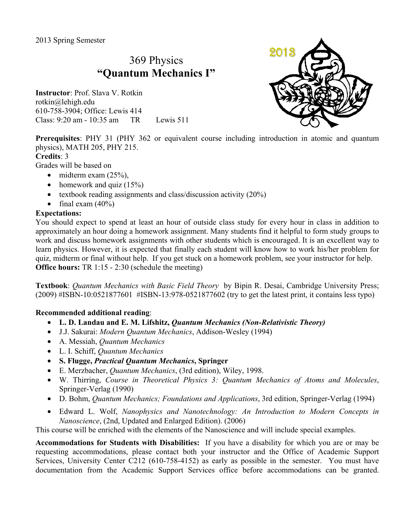# 369 Physics **"Quantum Mechanics I"**

**Instructor**: Prof. Slava V. Rotkin rotkin@lehigh.edu 610-758-3904; Office: Lewis 414 Class: 9:20 am - 10:35 am TR Lewis 511



**Prerequisites**: PHY 31 (PHY 362 or equivalent course including introduction in atomic and quantum physics), MATH 205, PHY 215.

### **Credits**: 3

Grades will be based on

- midterm exam  $(25\%)$ .
- homework and quiz  $(15%)$
- textbook reading assignments and class/discussion activity  $(20\%)$
- final exam  $(40\%)$

### **Expectations:**

You should expect to spend at least an hour of outside class study for every hour in class in addition to approximately an hour doing a homework assignment. Many students find it helpful to form study groups to work and discuss homework assignments with other students which is encouraged. It is an excellent way to learn physics. However, it is expected that finally each student will know how to work his/her problem for quiz, midterm or final without help. If you get stuck on a homework problem, see your instructor for help. **Office hours:** TR 1:15 - 2:30 (schedule the meeting)

**Textbook**: *Quantum Mechanics with Basic Field Theory* by Bipin R. Desai, Cambridge University Press; (2009) #ISBN-10:0521877601 #ISBN-13:978-0521877602 (try to get the latest print, it contains less typo)

## **Recommended additional reading**:

- **L. D. Landau and E. M. Lifshitz,** *Quantum Mechanics (Non-Relativistic Theory)*
- J.J. Sakurai: *Modern Quantum Mechanics*, Addison-Wesley (1994)
- A. Messiah, *Quantum Mechanics*
- L. I. Schiff, *Quantum Mechanics*
- **S. Flugge,** *Practical Quantum Mechanics***, Springer**
- E. Merzbacher, *Quantum Mechanics*, (3rd edition), Wiley, 1998.
- W. Thirring, *Course in Theoretical Physics 3: Quantum Mechanics of Atoms and Molecules*, Springer-Verlag (1990)
- D. Bohm, *Quantum Mechanics; Foundations and Applications*, 3rd edition, Springer-Verlag (1994)
- Edward L. Wolf, *Nanophysics and Nanotechnology: An Introduction to Modern Concepts in Nanoscience*, (2nd, Updated and Enlarged Edition). (2006)

This course will be enriched with the elements of the Nanoscience and will include special examples.

**Accommodations for Students with Disabilities:** If you have a disability for which you are or may be requesting accommodations, please contact both your instructor and the Office of Academic Support Services, University Center C212 (610-758-4152) as early as possible in the semester. You must have documentation from the Academic Support Services office before accommodations can be granted.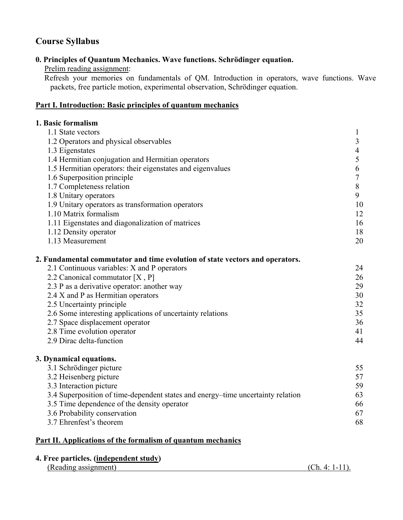# **Course Syllabus**

## **0. Principles of Quantum Mechanics. Wave functions. Schrödinger equation.**

Prelim reading assignment:

Refresh your memories on fundamentals of QM. Introduction in operators, wave functions. Wave packets, free particle motion, experimental observation, Schrödinger equation.

### **Part I. Introduction: Basic principles of quantum mechanics**

| 1. Basic formalism                                                              |                |
|---------------------------------------------------------------------------------|----------------|
| 1.1 State vectors                                                               | $\mathbf{1}$   |
| 1.2 Operators and physical observables                                          | 3              |
| 1.3 Eigenstates                                                                 | $\overline{4}$ |
| 1.4 Hermitian conjugation and Hermitian operators                               | 5              |
| 1.5 Hermitian operators: their eigenstates and eigenvalues                      | 6              |
| 1.6 Superposition principle                                                     | $\overline{7}$ |
| 1.7 Completeness relation                                                       | $\, 8$         |
| 1.8 Unitary operators                                                           | 9              |
| 1.9 Unitary operators as transformation operators                               | 10             |
| 1.10 Matrix formalism                                                           | 12             |
| 1.11 Eigenstates and diagonalization of matrices                                | 16             |
| 1.12 Density operator                                                           | 18             |
| 1.13 Measurement                                                                | 20             |
| 2. Fundamental commutator and time evolution of state vectors and operators.    |                |
| 2.1 Continuous variables: X and P operators                                     | 24             |
| 2.2 Canonical commutator $[X, P]$                                               | 26             |
| 2.3 P as a derivative operator: another way                                     | 29             |
| 2.4 X and P as Hermitian operators                                              | 30             |
| 2.5 Uncertainty principle                                                       | 32             |
| 2.6 Some interesting applications of uncertainty relations                      | 35             |
| 2.7 Space displacement operator                                                 | 36             |
| 2.8 Time evolution operator                                                     | 41             |
| 2.9 Dirac delta-function                                                        | 44             |
| 3. Dynamical equations.                                                         |                |
| 3.1 Schrödinger picture                                                         | 55             |
| 3.2 Heisenberg picture                                                          | 57             |
| 3.3 Interaction picture                                                         | 59             |
| 3.4 Superposition of time-dependent states and energy-time uncertainty relation | 63             |
| 3.5 Time dependence of the density operator                                     | 66             |
| 3.6 Probability conservation                                                    | 67             |
| 3.7 Ehrenfest's theorem                                                         | 68             |
|                                                                                 |                |

### **Part II. Applications of the formalism of quantum mechanics**

### **4. Free particles. (independent study)**

|  | (Reading assignment) |  |
|--|----------------------|--|
|  |                      |  |